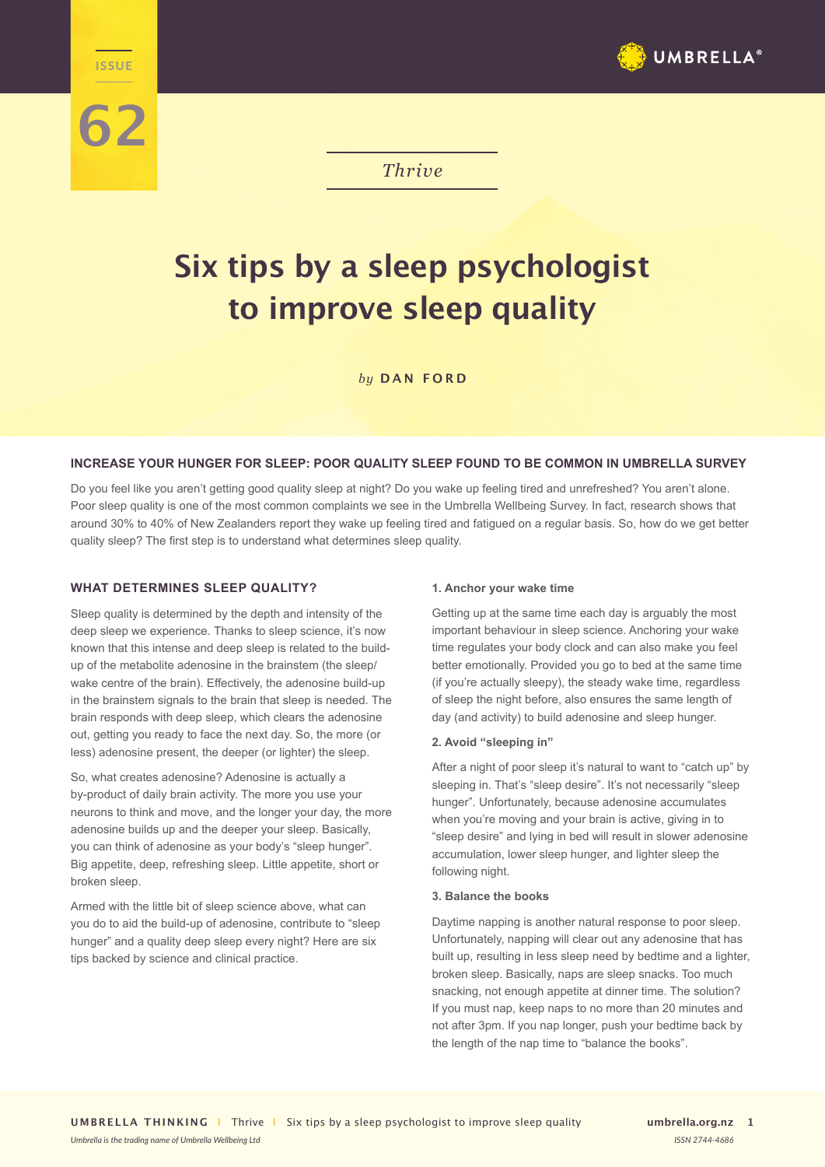

# *Thrive*

# **Six tips by a sleep psychologist to improve sleep quality**

*by* **DAN FORD**

# **INCREASE YOUR HUNGER FOR SLEEP: POOR QUALITY SLEEP FOUND TO BE COMMON IN UMBRELLA SURVEY**

Do you feel like you aren't getting good quality sleep at night? Do you wake up feeling tired and unrefreshed? You aren't alone. Poor sleep quality is one of the most common complaints we see in the Umbrella Wellbeing Survey. In fact, research shows that around 30% to 40% of New Zealanders report they wake up feeling tired and fatigued on a regular basis. So, how do we get better quality sleep? The first step is to understand what determines sleep quality.

# **WHAT DETERMINES SLEEP QUALITY?**

**The ISSUE** 

**62**

Sleep quality is determined by the depth and intensity of the deep sleep we experience. Thanks to sleep science, it's now known that this intense and deep sleep is related to the buildup of the metabolite adenosine in the brainstem (the sleep/ wake centre of the brain). Effectively, the adenosine build-up in the brainstem signals to the brain that sleep is needed. The brain responds with deep sleep, which clears the adenosine out, getting you ready to face the next day. So, the more (or less) adenosine present, the deeper (or lighter) the sleep.

So, what creates adenosine? Adenosine is actually a by-product of daily brain activity. The more you use your neurons to think and move, and the longer your day, the more adenosine builds up and the deeper your sleep. Basically, you can think of adenosine as your body's "sleep hunger". Big appetite, deep, refreshing sleep. Little appetite, short or broken sleep.

Armed with the little bit of sleep science above, what can you do to aid the build-up of adenosine, contribute to "sleep hunger" and a quality deep sleep every night? Here are six tips backed by science and clinical practice.

*Umbrella is the trading name of Umbrella Wellbeing Ltd*

#### **1. Anchor your wake time**

Getting up at the same time each day is arguably the most important behaviour in sleep science. Anchoring your wake time regulates your body clock and can also make you feel better emotionally. Provided you go to bed at the same time (if you're actually sleepy), the steady wake time, regardless of sleep the night before, also ensures the same length of day (and activity) to build adenosine and sleep hunger.

#### **2. Avoid "sleeping in"**

After a night of poor sleep it's natural to want to "catch up" by sleeping in. That's "sleep desire". It's not necessarily "sleep hunger". Unfortunately, because adenosine accumulates when you're moving and your brain is active, giving in to "sleep desire" and lying in bed will result in slower adenosine accumulation, lower sleep hunger, and lighter sleep the following night.

#### **3. Balance the books**

Daytime napping is another natural response to poor sleep. Unfortunately, napping will clear out any adenosine that has built up, resulting in less sleep need by bedtime and a lighter, broken sleep. Basically, naps are sleep snacks. Too much snacking, not enough appetite at dinner time. The solution? If you must nap, keep naps to no more than 20 minutes and not after 3pm. If you nap longer, push your bedtime back by the length of the nap time to "balance the books".

umbrella org<sub>nz</sub> 1